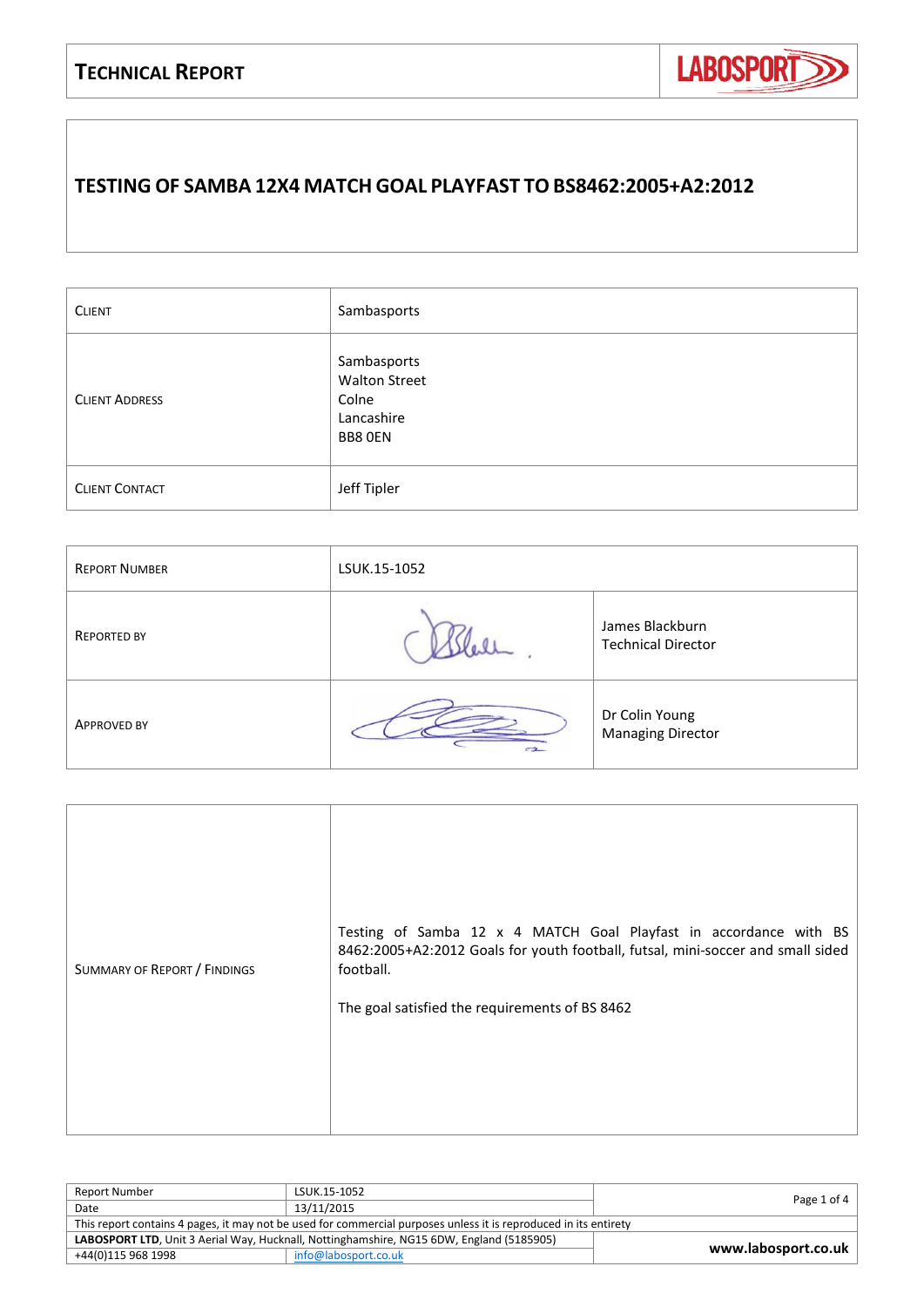

## **TESTING OF SAMBA 12X4 MATCH GOAL PLAYFAST TO BS8462:2005+A2:2012**

| <b>CLIENT</b>         | Sambasports                                                           |
|-----------------------|-----------------------------------------------------------------------|
| <b>CLIENT ADDRESS</b> | Sambasports<br><b>Walton Street</b><br>Colne<br>Lancashire<br>BB8 OEN |
| <b>CLIENT CONTACT</b> | Jeff Tipler                                                           |

| <b>REPORT NUMBER</b> | LSUK.15-1052 |                                              |
|----------------------|--------------|----------------------------------------------|
| <b>REPORTED BY</b>   |              | James Blackburn<br><b>Technical Director</b> |
| <b>APPROVED BY</b>   | $-2$         | Dr Colin Young<br><b>Managing Director</b>   |

| SUMMARY OF REPORT / FINDINGS | Testing of Samba 12 x 4 MATCH Goal Playfast in accordance with BS<br>8462:2005+A2:2012 Goals for youth football, futsal, mini-soccer and small sided<br>football.<br>The goal satisfied the requirements of BS 8462 |
|------------------------------|---------------------------------------------------------------------------------------------------------------------------------------------------------------------------------------------------------------------|
|------------------------------|---------------------------------------------------------------------------------------------------------------------------------------------------------------------------------------------------------------------|

| Report Number                                                                                                    | LSUK.15-1052         |                     |
|------------------------------------------------------------------------------------------------------------------|----------------------|---------------------|
| Date                                                                                                             | 13/11/2015           | Page 1 of 4         |
| This report contains 4 pages, it may not be used for commercial purposes unless it is reproduced in its entirety |                      |                     |
| LABOSPORT LTD, Unit 3 Aerial Way, Hucknall, Nottinghamshire, NG15 6DW, England (5185905)                         |                      |                     |
| +44(0)115 968 1998                                                                                               | info@labosport.co.uk | www.labosport.co.uk |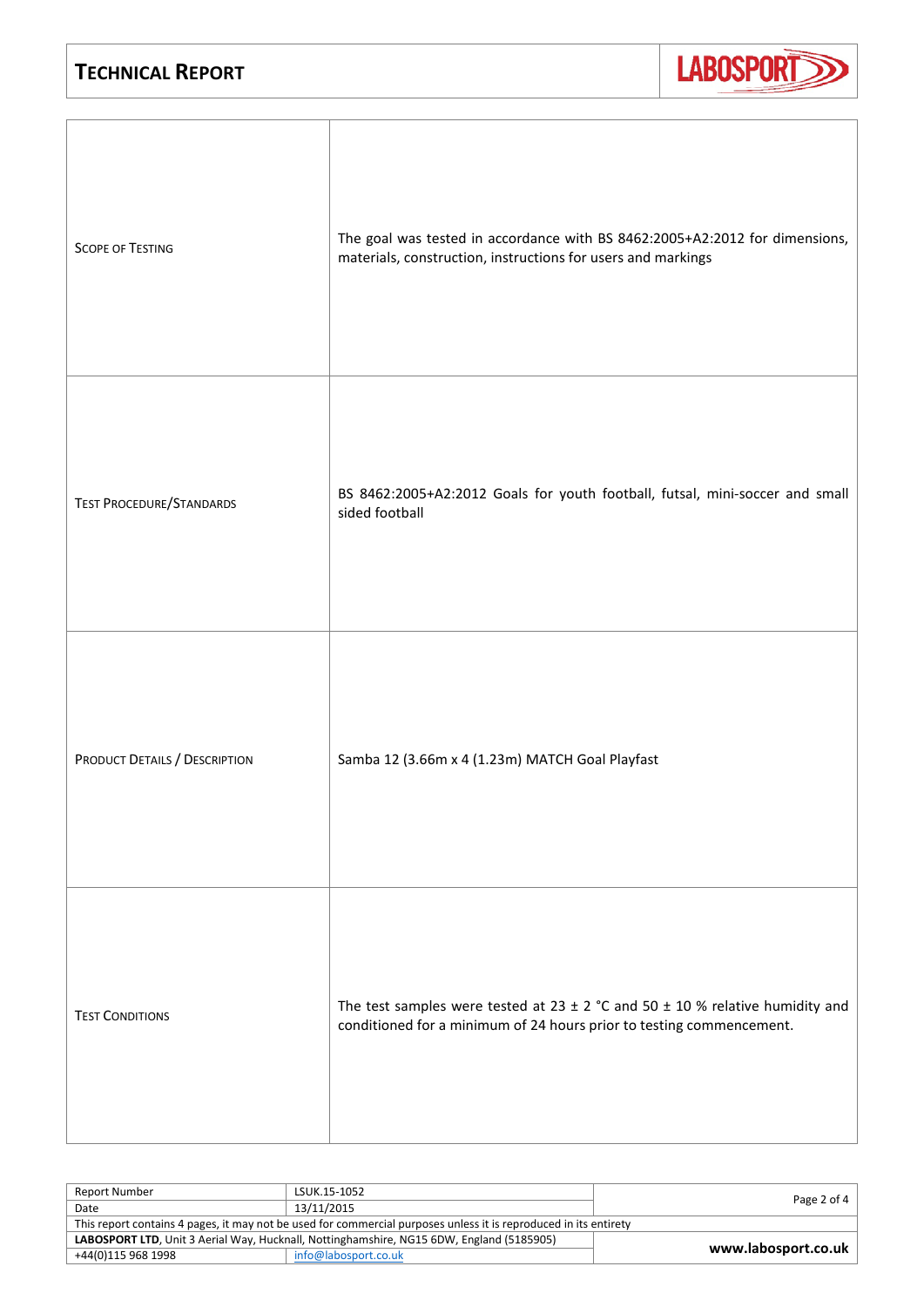

| <b>SCOPE OF TESTING</b>         | The goal was tested in accordance with BS 8462:2005+A2:2012 for dimensions,<br>materials, construction, instructions for users and markings                   |
|---------------------------------|---------------------------------------------------------------------------------------------------------------------------------------------------------------|
| <b>TEST PROCEDURE/STANDARDS</b> | BS 8462:2005+A2:2012 Goals for youth football, futsal, mini-soccer and small<br>sided football                                                                |
| PRODUCT DETAILS / DESCRIPTION   | Samba 12 (3.66m x 4 (1.23m) MATCH Goal Playfast                                                                                                               |
| <b>TEST CONDITIONS</b>          | The test samples were tested at 23 $\pm$ 2 °C and 50 $\pm$ 10 % relative humidity and<br>conditioned for a minimum of 24 hours prior to testing commencement. |

| Report Number                                                                                                    | LSUK.15-1052         |                     |
|------------------------------------------------------------------------------------------------------------------|----------------------|---------------------|
| Date                                                                                                             | 13/11/2015           | Page 2 of 4         |
| This report contains 4 pages, it may not be used for commercial purposes unless it is reproduced in its entirety |                      |                     |
| LABOSPORT LTD, Unit 3 Aerial Way, Hucknall, Nottinghamshire, NG15 6DW, England (5185905)                         |                      |                     |
| +44(0)115 968 1998                                                                                               | info@labosport.co.uk | www.labosport.co.uk |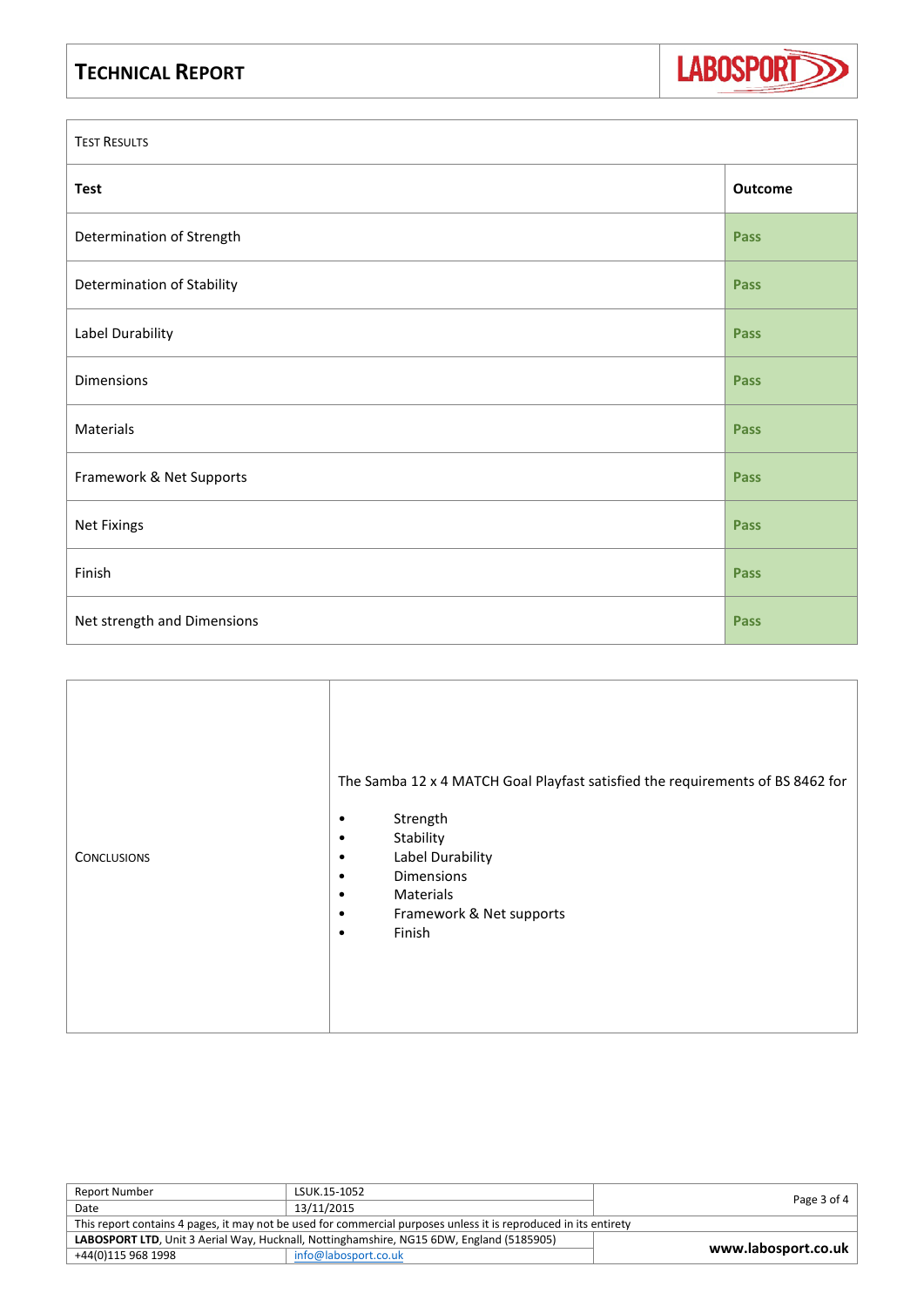

| <b>TEST RESULTS</b>         |             |
|-----------------------------|-------------|
| <b>Test</b>                 | Outcome     |
| Determination of Strength   | Pass        |
| Determination of Stability  | <b>Pass</b> |
| Label Durability            | <b>Pass</b> |
| Dimensions                  | <b>Pass</b> |
| Materials                   | <b>Pass</b> |
| Framework & Net Supports    | Pass        |
| <b>Net Fixings</b>          | <b>Pass</b> |
| Finish                      | <b>Pass</b> |
| Net strength and Dimensions | Pass        |

| <b>CONCLUSIONS</b> | The Samba 12 x 4 MATCH Goal Playfast satisfied the requirements of BS 8462 for<br>Strength<br>Stability<br>Label Durability<br>٠<br>Dimensions<br>٠<br>Materials<br>٠<br>Framework & Net supports<br>٠<br>Finish<br>$\bullet$ |
|--------------------|-------------------------------------------------------------------------------------------------------------------------------------------------------------------------------------------------------------------------------|
|--------------------|-------------------------------------------------------------------------------------------------------------------------------------------------------------------------------------------------------------------------------|

| <b>Report Number</b>                                                                                             | LSUK.15-1052         |                     |
|------------------------------------------------------------------------------------------------------------------|----------------------|---------------------|
| Date                                                                                                             | 13/11/2015           | Page 3 of 4         |
| This report contains 4 pages, it may not be used for commercial purposes unless it is reproduced in its entirety |                      |                     |
| LABOSPORT LTD, Unit 3 Aerial Way, Hucknall, Nottinghamshire, NG15 6DW, England (5185905)                         |                      | www.labosport.co.uk |
| +44(0)115 968 1998                                                                                               | info@labosport.co.uk |                     |